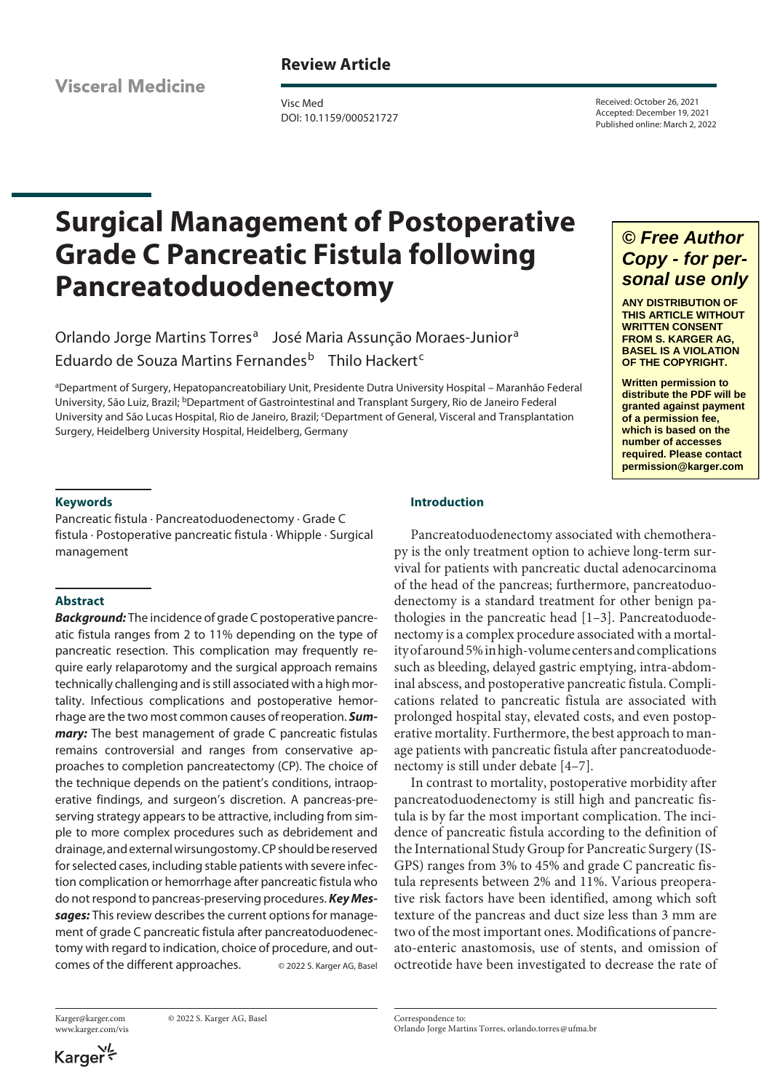**Visceral Medicine** 

## **Review Article**

Visc Med DOI: 10.1159/000521727

Received: October 26, 2021 Accepted: December 19, 2021 Published online: March 2, 2022

# **Surgical Management of Postoperative Grade C Pancreatic Fistula following Pancreatoduodenectomy**

Orlando Jorge Martins Torres<sup>a</sup> José Maria Assunção Moraes-Junior<sup>a</sup> Eduardo de Souza Martins Fernandes<sup>b</sup> Thilo Hackert<sup>c</sup>

a Department of Surgery, Hepatopancreatobiliary Unit, Presidente Dutra University Hospital – Maranhão Federal University, São Luiz, Brazil; <sup>b</sup>Department of Gastrointestinal and Transplant Surgery, Rio de Janeiro Federal University and São Lucas Hospital, Rio de Janeiro, Brazil; <sup>c</sup>Department of General, Visceral and Transplantation Surgery, Heidelberg University Hospital, Heidelberg, Germany

## *© Free Author Copy - for personal use only*

**ANY DISTRIBUTION OF THIS ARTICLE WITHOUT WRITTEN CONSENT FROM S. KARGER AG, BASEL IS A VIOLATION OF THE COPYRIGHT.**

**Written permission to distribute the PDF will be granted against payment of a permission fee, which is based on the number of accesses required. Please contact permission@karger.com**

## **Keywords**

Pancreatic fistula · Pancreatoduodenectomy · Grade C fistula · Postoperative pancreatic fistula · Whipple · Surgical management

## **Abstract**

*Background:* The incidence of grade C postoperative pancreatic fistula ranges from 2 to 11% depending on the type of pancreatic resection. This complication may frequently require early relaparotomy and the surgical approach remains technically challenging and is still associated with a high mortality. Infectious complications and postoperative hemorrhage are the two most common causes of reoperation. *Summary:* The best management of grade C pancreatic fistulas remains controversial and ranges from conservative approaches to completion pancreatectomy (CP). The choice of the technique depends on the patient's conditions, intraoperative findings, and surgeon's discretion. A pancreas-preserving strategy appears to be attractive, including from simple to more complex procedures such as debridement and drainage, and external wirsungostomy. CP should be reserved for selected cases, including stable patients with severe infection complication or hemorrhage after pancreatic fistula who do not respond to pancreas-preserving procedures. *Key Messages:* This review describes the current options for management of grade C pancreatic fistula after pancreatoduodenectomy with regard to indication, choice of procedure, and outcomes of the different approaches. © 2022 S. Karger AG, Basel

www.karger.com/vis

Karger@karger.com © 2022 S. Karger AG, Basel

## **Introduction**

<span id="page-0-0"></span>Pancreatoduodenectomy associated with chemotherapy is the only treatment option to achieve long-term survival for patients with pancreatic ductal adenocarcinoma of the head of the pancreas; furthermore, pancreatoduodenectomy is a standard treatment for other benign pathologies in the pancreatic head [\[1](#page-7-0)–[3](#page-7-1)]. Pancreatoduodenectomy is a complex procedure associated with a mortality of around 5% in high-volume centers and complications such as bleeding, delayed gastric emptying, intra-abdominal abscess, and postoperative pancreatic fistula. Complications related to pancreatic fistula are associated with prolonged hospital stay, elevated costs, and even postoperative mortality. Furthermore, the best approach to manage patients with pancreatic fistula after pancreatoduodenectomy is still under debate [[4](#page-7-2)[–7\]](#page-7-3).

<span id="page-0-1"></span>In contrast to mortality, postoperative morbidity after pancreatoduodenectomy is still high and pancreatic fistula is by far the most important complication. The incidence of pancreatic fistula according to the definition of the International Study Group for Pancreatic Surgery (IS-GPS) ranges from 3% to 45% and grade C pancreatic fistula represents between 2% and 11%. Various preoperative risk factors have been identified, among which soft texture of the pancreas and duct size less than 3 mm are two of the most important ones. Modifications of pancreato-enteric anastomosis, use of stents, and omission of octreotide have been investigated to decrease the rate of

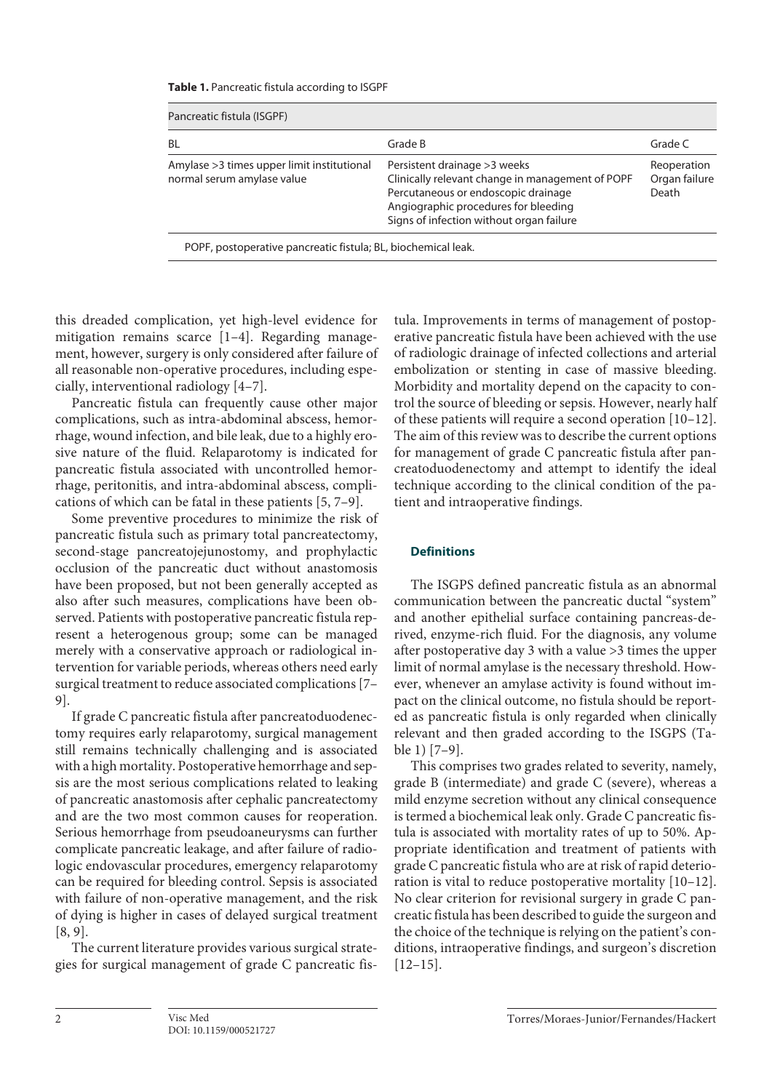**Table 1.** Pancreatic fistula according to ISGPF

| Pancreatic fistula (ISGPF)                                                |                                                                                                                                                                                                              |                                       |  |  |  |  |  |
|---------------------------------------------------------------------------|--------------------------------------------------------------------------------------------------------------------------------------------------------------------------------------------------------------|---------------------------------------|--|--|--|--|--|
| <b>BL</b>                                                                 | Grade B                                                                                                                                                                                                      | Grade C                               |  |  |  |  |  |
| Amylase > 3 times upper limit institutional<br>normal serum amylase value | Persistent drainage > 3 weeks<br>Clinically relevant change in management of POPF<br>Percutaneous or endoscopic drainage<br>Angiographic procedures for bleeding<br>Signs of infection without organ failure | Reoperation<br>Organ failure<br>Death |  |  |  |  |  |
| POPF, postoperative pancreatic fistula; BL, biochemical leak.             |                                                                                                                                                                                                              |                                       |  |  |  |  |  |

this dreaded complication, yet high-level evidence for mitigation remains scarce [[1](#page-7-0)–[4](#page-7-2)]. Regarding management, however, surgery is only considered after failure of all reasonable non-operative procedures, including especially, interventional radiology [[4–](#page-7-2)[7\]](#page-7-3).

Pancreatic fistula can frequently cause other major complications, such as intra-abdominal abscess, hemorrhage, wound infection, and bile leak, due to a highly erosive nature of the fluid. Relaparotomy is indicated for pancreatic fistula associated with uncontrolled hemorrhage, peritonitis, and intra-abdominal abscess, complications of which can be fatal in these patients [\[5,](#page-7-4) [7–](#page-7-3)[9\]](#page-7-5).

<span id="page-1-0"></span>Some preventive procedures to minimize the risk of pancreatic fistula such as primary total pancreatectomy, second-stage pancreatojejunostomy, and prophylactic occlusion of the pancreatic duct without anastomosis have been proposed, but not been generally accepted as also after such measures, complications have been observed. Patients with postoperative pancreatic fistula represent a heterogenous group; some can be managed merely with a conservative approach or radiological intervention for variable periods, whereas others need early surgical treatment to reduce associated complications [\[7–](#page-7-3) [9\]](#page-7-5).

If grade C pancreatic fistula after pancreatoduodenectomy requires early relaparotomy, surgical management still remains technically challenging and is associated with a high mortality. Postoperative hemorrhage and sepsis are the most serious complications related to leaking of pancreatic anastomosis after cephalic pancreatectomy and are the two most common causes for reoperation. Serious hemorrhage from pseudoaneurysms can further complicate pancreatic leakage, and after failure of radiologic endovascular procedures, emergency relaparotomy can be required for bleeding control. Sepsis is associated with failure of non-operative management, and the risk of dying is higher in cases of delayed surgical treatment [\[8,](#page-7-6) [9\]](#page-7-5).

The current literature provides various surgical strategies for surgical management of grade C pancreatic fis<span id="page-1-1"></span>tula. Improvements in terms of management of postoperative pancreatic fistula have been achieved with the use of radiologic drainage of infected collections and arterial embolization or stenting in case of massive bleeding. Morbidity and mortality depend on the capacity to control the source of bleeding or sepsis. However, nearly half of these patients will require a second operation [[10](#page-7-0)–[1](#page-7-0)[2](#page-7-7)]. The aim of this review was to describe the current options for management of grade C pancreatic fistula after pancreatoduodenectomy and attempt to identify the ideal technique according to the clinical condition of the patient and intraoperative findings.

## **Definitions**

The ISGPS defined pancreatic fistula as an abnormal communication between the pancreatic ductal "system" and another epithelial surface containing pancreas-derived, enzyme-rich fluid. For the diagnosis, any volume after postoperative day 3 with a value >3 times the upper limit of normal amylase is the necessary threshold. However, whenever an amylase activity is found without impact on the clinical outcome, no fistula should be reported as pancreatic fistula is only regarded when clinically relevant and then graded according to the ISGPS (Table 1) [[7](#page-7-3)–[9](#page-7-5)].

<span id="page-1-2"></span>This comprises two grades related to severity, namely, grade B (intermediate) and grade C (severe), whereas a mild enzyme secretion without any clinical consequence is termed a biochemical leak only. Grade C pancreatic fistula is associated with mortality rates of up to 50%. Appropriate identification and treatment of patients with grade C pancreatic fistula who are at risk of rapid deterioration is vital to reduce postoperative mortality [[10](#page-7-0)–[1](#page-7-0)[2](#page-7-7)]. No clear criterion for revisional surgery in grade C pancreatic fistula has been described to guide the surgeon and the choice of the technique is relying on the patient's conditions, intraoperative findings, and surgeon's discretion  $[12-15]$  $[12-15]$  $[12-15]$  $[12-15]$  $[12-15]$ .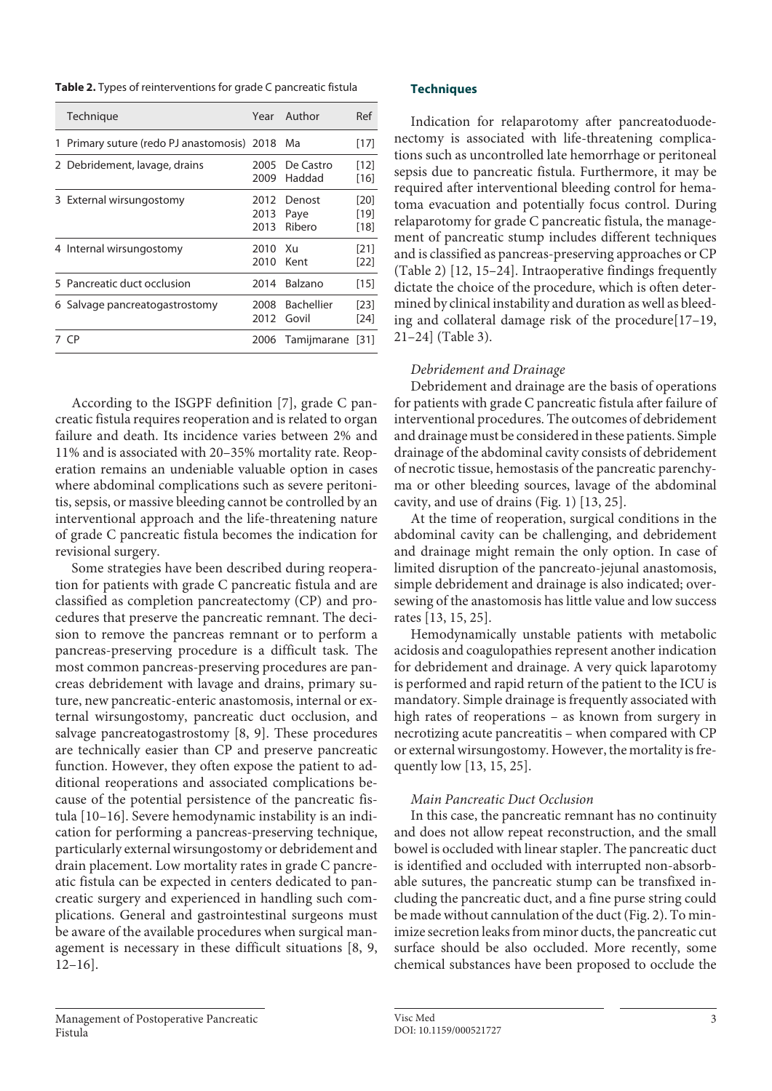**Table 2.** Types of reinterventions for grade C pancreatic fistula

| Technique                                   |                      | Year Author                | Ref                    |
|---------------------------------------------|----------------------|----------------------------|------------------------|
| 1 Primary suture (redo PJ anastomosis) 2018 |                      | Ma                         | [17]                   |
| 2 Debridement, lavage, drains               | 2005<br>2009         | De Castro<br>Haddad        | [12]<br>[16]           |
| 3 External wirsungostomy                    | 2012<br>2013<br>2013 | Denost<br>Paye<br>Ribero   | [20]<br>[19]<br>$[18]$ |
| 4 Internal wirsungostomy                    | 2010<br>2010         | - Xu<br>Kent               | [21]<br>$[22]$         |
| 5 Pancreatic duct occlusion                 | 2014                 | Balzano                    | [15]                   |
| 6 Salvage pancreatogastrostomy              | 2008<br>2012         | <b>Bachellier</b><br>Govil | $[23]$<br>[24]         |
| 7 CP                                        | 2006                 | Tamijmarane                | 1311                   |

According to the ISGPF definition [\[7\]](#page-7-3), grade C pancreatic fistula requires reoperation and is related to organ failure and death. Its incidence varies between 2% and 11% and is associated with 20–35% mortality rate. Reoperation remains an undeniable valuable option in cases where abdominal complications such as severe peritonitis, sepsis, or massive bleeding cannot be controlled by an interventional approach and the life-threatening nature of grade C pancreatic fistula becomes the indication for revisional surgery.

<span id="page-2-0"></span>Some strategies have been described during reoperation for patients with grade C pancreatic fistula and are classified as completion pancreatectomy (CP) and procedures that preserve the pancreatic remnant. The decision to remove the pancreas remnant or to perform a pancreas-preserving procedure is a difficult task. The most common pancreas-preserving procedures are pancreas debridement with lavage and drains, primary suture, new pancreatic-enteric anastomosis, internal or external wirsungostomy, pancreatic duct occlusion, and salvage pancreatogastrostomy [\[8,](#page-7-6) [9](#page-7-5)]. These procedures are technically easier than CP and preserve pancreatic function. However, they often expose the patient to additional reoperations and associated complications because of the potential persistence of the pancreatic fistula [[1](#page-7-0)0[–1](#page-7-0)[6\]](#page-7-8). Severe hemodynamic instability is an indication for performing a pancreas-preserving technique, particularly external wirsungostomy or debridement and drain placement. Low mortality rates in grade C pancreatic fistula can be expected in centers dedicated to pancreatic surgery and experienced in handling such complications. General and gastrointestinal surgeons must be aware of the available procedures when surgical management is necessary in these difficult situations [[8,](#page-7-6) [9,](#page-7-5) [1](#page-7-0)[2](#page-7-7)–[1](#page-7-0)[6\]](#page-7-8).

## **Techniques**

Indication for relaparotomy after pancreatoduodenectomy is associated with life-threatening complications such as uncontrolled late hemorrhage or peritoneal sepsis due to pancreatic fistula. Furthermore, it may be required after interventional bleeding control for hematoma evacuation and potentially focus control. During relaparotomy for grade C pancreatic fistula, the management of pancreatic stump includes different techniques and is classified as pancreas-preserving approaches or CP (Table 2) [[1](#page-7-0)[2](#page-7-7), [1](#page-7-0)[5](#page-7-4)[–2](#page-7-7)[4\]](#page-7-2). Intraoperative findings frequently dictate the choice of the procedure, which is often determined by clinical instability and duration as well as bleeding and collateral damage risk of the procedure[\[1](#page-7-0)[7–](#page-7-3)[1](#page-7-0)[9](#page-7-5), [2](#page-7-7)[1–](#page-7-0)[2](#page-7-7)[4\]](#page-7-2) (Table 3).

## <span id="page-2-1"></span>*Debridement and Drainage*

Debridement and drainage are the basis of operations for patients with grade C pancreatic fistula after failure of interventional procedures. The outcomes of debridement and drainage must be considered in these patients. Simple drainage of the abdominal cavity consists of debridement of necrotic tissue, hemostasis of the pancreatic parenchyma or other bleeding sources, lavage of the abdominal cavity, and use of drains (Fig. 1) [[1](#page-7-0)[3](#page-7-1), [2](#page-7-7)[5\]](#page-7-4).

<span id="page-2-2"></span>At the time of reoperation, surgical conditions in the abdominal cavity can be challenging, and debridement and drainage might remain the only option. In case of limited disruption of the pancreato-jejunal anastomosis, simple debridement and drainage is also indicated; oversewing of the anastomosis has little value and low success rates [\[1](#page-7-0)[3,](#page-7-1) [1](#page-7-0)[5](#page-7-4), [2](#page-7-7)[5\]](#page-7-4).

Hemodynamically unstable patients with metabolic acidosis and coagulopathies represent another indication for debridement and drainage. A very quick laparotomy is performed and rapid return of the patient to the ICU is mandatory. Simple drainage is frequently associated with high rates of reoperations – as known from surgery in necrotizing acute pancreatitis – when compared with CP or external wirsungostomy. However, the mortality is frequently low [\[1](#page-7-0)[3,](#page-7-1) [1](#page-7-0)[5](#page-7-4), [2](#page-7-7)[5\]](#page-7-4).

## *Main Pancreatic Duct Occlusion*

In this case, the pancreatic remnant has no continuity and does not allow repeat reconstruction, and the small bowel is occluded with linear stapler. The pancreatic duct is identified and occluded with interrupted non-absorbable sutures, the pancreatic stump can be transfixed including the pancreatic duct, and a fine purse string could be made without cannulation of the duct (Fig. 2). To minimize secretion leaks from minor ducts, the pancreatic cut surface should be also occluded. More recently, some chemical substances have been proposed to occlude the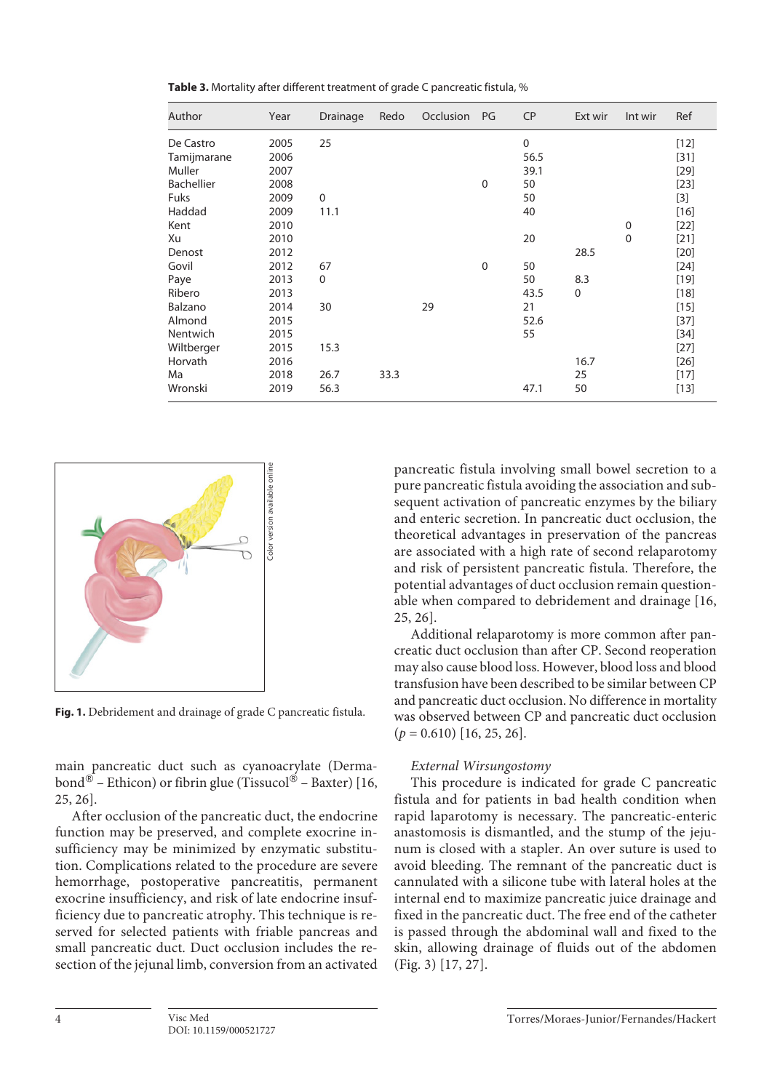| Author            | Year | Drainage    | Redo | Occlusion | PG          | <b>CP</b>   | Ext wir     | Int wir     | Ref    |
|-------------------|------|-------------|------|-----------|-------------|-------------|-------------|-------------|--------|
| De Castro         | 2005 | 25          |      |           |             | $\mathbf 0$ |             |             | $[12]$ |
| Tamijmarane       | 2006 |             |      |           |             | 56.5        |             |             | $[31]$ |
| Muller            | 2007 |             |      |           |             | 39.1        |             |             | $[29]$ |
| <b>Bachellier</b> | 2008 |             |      |           | $\mathbf 0$ | 50          |             |             | $[23]$ |
| <b>Fuks</b>       | 2009 | $\mathbf 0$ |      |           |             | 50          |             |             | $[3]$  |
| Haddad            | 2009 | 11.1        |      |           |             | 40          |             |             | $[16]$ |
| Kent              | 2010 |             |      |           |             |             |             | $\mathbf 0$ | $[22]$ |
| Xu                | 2010 |             |      |           |             | 20          |             | $\mathbf 0$ | $[21]$ |
| Denost            | 2012 |             |      |           |             |             | 28.5        |             | $[20]$ |
| Govil             | 2012 | 67          |      |           | $\Omega$    | 50          |             |             | $[24]$ |
| Paye              | 2013 | $\Omega$    |      |           |             | 50          | 8.3         |             | $[19]$ |
| Ribero            | 2013 |             |      |           |             | 43.5        | $\mathbf 0$ |             | $[18]$ |
| Balzano           | 2014 | 30          |      | 29        |             | 21          |             |             | $[15]$ |
| Almond            | 2015 |             |      |           |             | 52.6        |             |             | $[37]$ |
| Nentwich          | 2015 |             |      |           |             | 55          |             |             | $[34]$ |
| Wiltberger        | 2015 | 15.3        |      |           |             |             |             |             | $[27]$ |
| Horvath           | 2016 |             |      |           |             |             | 16.7        |             | $[26]$ |
| Ma                | 2018 | 26.7        | 33.3 |           |             |             | 25          |             | $[17]$ |
| Wronski           | 2019 | 56.3        |      |           |             | 47.1        | 50          |             | $[13]$ |

**Table 3.** Mortality after different treatment of grade C pancreatic fistula, %



main pancreatic duct such as cyanoacrylate (Dermabond® – Ethicon) or fibrin glue (Tissucol® – Baxter) [\[1](#page-7-0)[6,](#page-7-8) [2](#page-7-7)[5](#page-7-4), [2](#page-7-7)[6\]](#page-7-8).

After occlusion of the pancreatic duct, the endocrine function may be preserved, and complete exocrine insufficiency may be minimized by enzymatic substitution. Complications related to the procedure are severe hemorrhage, postoperative pancreatitis, permanent exocrine insufficiency, and risk of late endocrine insufficiency due to pancreatic atrophy. This technique is reserved for selected patients with friable pancreas and small pancreatic duct. Duct occlusion includes the resection of the jejunal limb, conversion from an activated pancreatic fistula involving small bowel secretion to a pure pancreatic fistula avoiding the association and subsequent activation of pancreatic enzymes by the biliary and enteric secretion. In pancreatic duct occlusion, the theoretical advantages in preservation of the pancreas are associated with a high rate of second relaparotomy and risk of persistent pancreatic fistula. Therefore, the potential advantages of duct occlusion remain questionable when compared to debridement and drainage [\[1](#page-7-0)[6](#page-7-8), [2](#page-7-7)[5,](#page-7-4) [2](#page-7-7)[6\]](#page-7-8).

Additional relaparotomy is more common after pancreatic duct occlusion than after CP. Second reoperation may also cause blood loss. However, blood loss and blood transfusion have been described to be similar between CP and pancreatic duct occlusion. No difference in mortality was observed between CP and pancreatic duct occlusion  $(p = 0.610)$  [\[1](#page-7-0)[6,](#page-7-8) [2](#page-7-7)[5](#page-7-4), [2](#page-7-7)[6\]](#page-7-8).

## <span id="page-3-0"></span>*External Wirsungostomy*

<span id="page-3-1"></span>This procedure is indicated for grade C pancreatic fistula and for patients in bad health condition when rapid laparotomy is necessary. The pancreatic-enteric anastomosis is dismantled, and the stump of the jejunum is closed with a stapler. An over suture is used to avoid bleeding. The remnant of the pancreatic duct is cannulated with a silicone tube with lateral holes at the internal end to maximize pancreatic juice drainage and fixed in the pancreatic duct. The free end of the catheter is passed through the abdominal wall and fixed to the skin, allowing drainage of fluids out of the abdomen (Fig. 3) [\[1](#page-7-0)[7,](#page-7-3) [2](#page-7-7)[7\]](#page-7-3).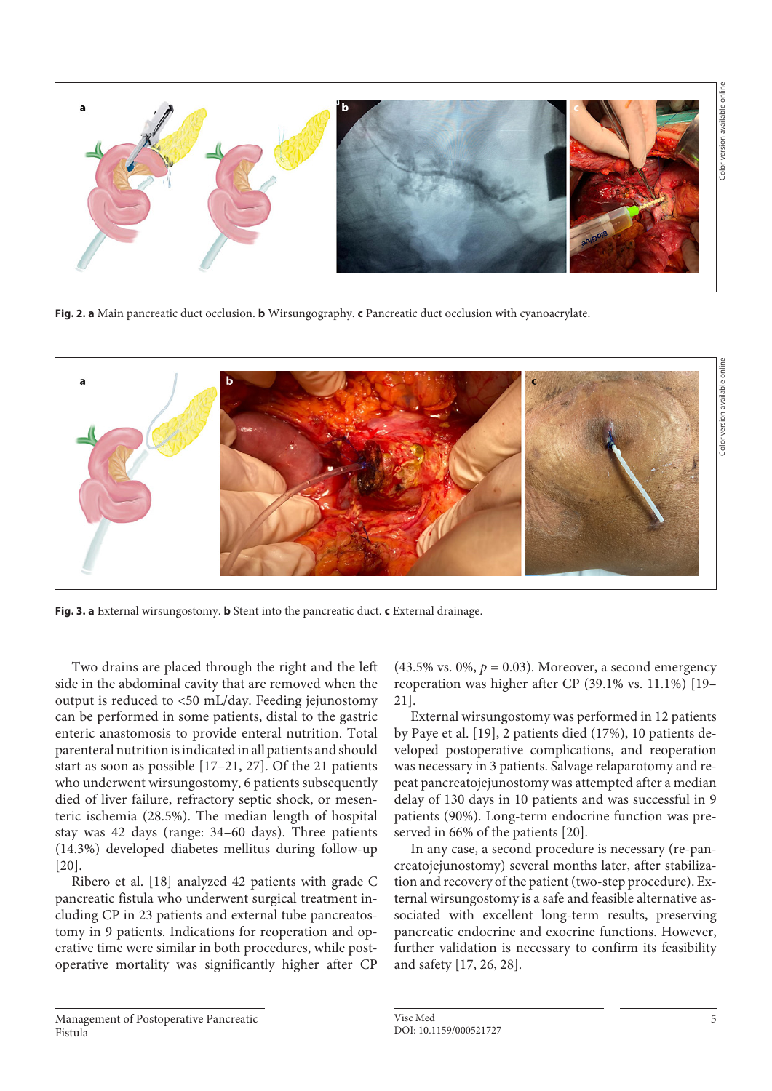

**Fig. 2. a** Main pancreatic duct occlusion. **b** Wirsungography. **c** Pancreatic duct occlusion with cyanoacrylate.



**Fig. 3. a** External wirsungostomy. **b** Stent into the pancreatic duct. **c** External drainage.

Two drains are placed through the right and the left side in the abdominal cavity that are removed when the output is reduced to <50 mL/day. Feeding jejunostomy can be performed in some patients, distal to the gastric enteric anastomosis to provide enteral nutrition. Total parenteral nutrition is indicated in all patients and should start as soon as possible [\[1](#page-7-0)[7–](#page-7-3)[2](#page-7-7)[1](#page-7-0), [2](#page-7-7)[7\]](#page-7-3). Of the 21 patients who underwent wirsungostomy, 6 patients subsequently died of liver failure, refractory septic shock, or mesenteric ischemia (28.5%). The median length of hospital stay was 42 days (range: 34–60 days). Three patients (14.3%) developed diabetes mellitus during follow-up [\[20](#page-7-7)].

Ribero et al. [\[1](#page-7-0)[8\]](#page-7-6) analyzed 42 patients with grade C pancreatic fistula who underwent surgical treatment including CP in 23 patients and external tube pancreatostomy in 9 patients. Indications for reoperation and operative time were similar in both procedures, while postoperative mortality was significantly higher after CP

 $(43.5\% \text{ vs. } 0\%, p = 0.03)$ . Moreover, a second emergency reoperation was higher after CP (39.1% vs. 11.1%) [\[1](#page-7-0)[9](#page-7-5)– [2](#page-7-7)[1\]](#page-7-0).

External wirsungostomy was performed in 12 patients by Paye et al. [\[1](#page-7-0)[9\]](#page-7-5), 2 patients died (17%), 10 patients developed postoperative complications, and reoperation was necessary in 3 patients. Salvage relaparotomy and repeat pancreatojejunostomy was attempted after a median delay of 130 days in 10 patients and was successful in 9 patients (90%). Long-term endocrine function was preserved in 66% of the patients [[2](#page-7-7)0].

<span id="page-4-0"></span>In any case, a second procedure is necessary (re-pancreatojejunostomy) several months later, after stabilization and recovery of the patient (two-step procedure). External wirsungostomy is a safe and feasible alternative associated with excellent long-term results, preserving pancreatic endocrine and exocrine functions. However, further validation is necessary to confirm its feasibility and safety [[1](#page-7-0)[7](#page-7-3), [2](#page-7-7)[6,](#page-7-8) [2](#page-7-7)[8](#page-7-6)].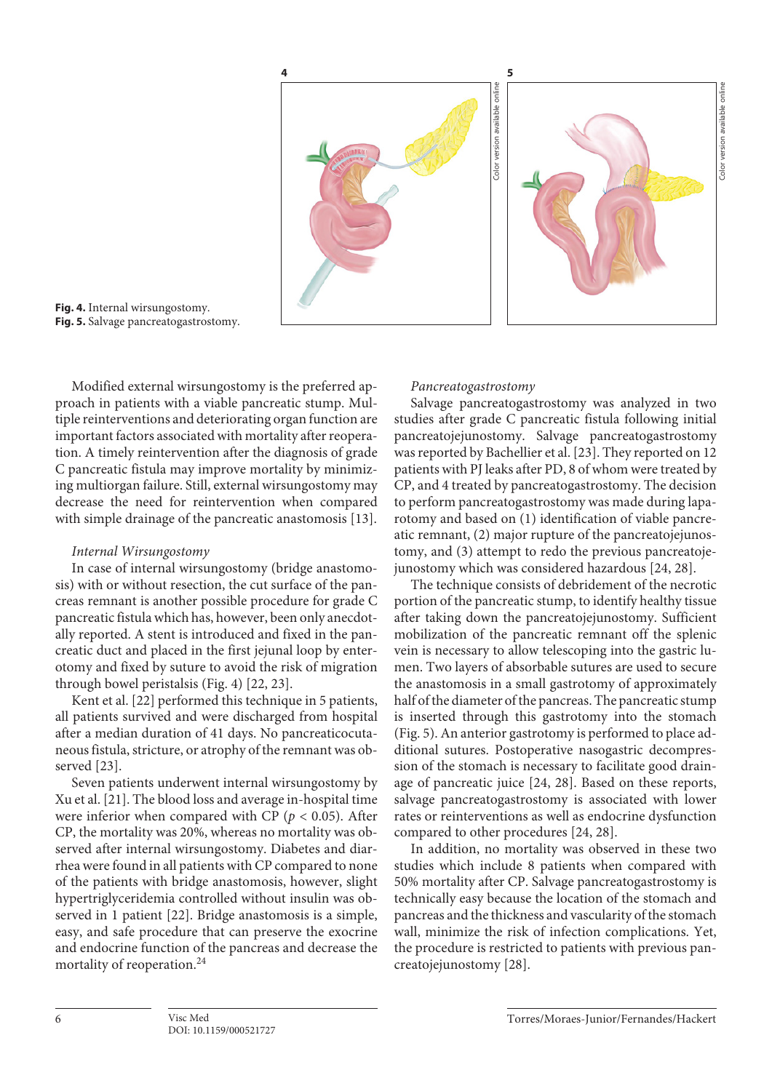

**Fig. 4.** Internal wirsungostomy. **Fig. 5.** Salvage pancreatogastrostomy.

Modified external wirsungostomy is the preferred approach in patients with a viable pancreatic stump. Multiple reinterventions and deteriorating organ function are important factors associated with mortality after reoperation. A timely reintervention after the diagnosis of grade C pancreatic fistula may improve mortality by minimizing multiorgan failure. Still, external wirsungostomy may decrease the need for reintervention when compared with simple drainage of the pancreatic anastomosis [[1](#page-7-0)[3\]](#page-7-1).

## *Internal Wirsungostomy*

In case of internal wirsungostomy (bridge anastomosis) with or without resection, the cut surface of the pancreas remnant is another possible procedure for grade C pancreatic fistula which has, however, been only anecdotally reported. A stent is introduced and fixed in the pancreatic duct and placed in the first jejunal loop by enterotomy and fixed by suture to avoid the risk of migration through bowel peristalsis (Fig. 4) [[22](#page-7-7), [2](#page-7-7)[3\]](#page-7-1).

Kent et al. [\[22\]](#page-7-7) performed this technique in 5 patients, all patients survived and were discharged from hospital after a median duration of 41 days. No pancreaticocutaneous fistula, stricture, or atrophy of the remnant was observed [\[2](#page-7-7)[3\]](#page-7-1).

Seven patients underwent internal wirsungostomy by Xu et al. [\[2](#page-7-7)[1\]](#page-7-0). The blood loss and average in-hospital time were inferior when compared with CP ( $p < 0.05$ ). After CP, the mortality was 20%, whereas no mortality was observed after internal wirsungostomy. Diabetes and diarrhea were found in all patients with CP compared to none of the patients with bridge anastomosis, however, slight hypertriglyceridemia controlled without insulin was observed in 1 patient [\[22\]](#page-7-7). Bridge anastomosis is a simple, easy, and safe procedure that can preserve the exocrine and endocrine function of the pancreas and decrease the mortality of reoperation.<sup>24</sup>

#### *Pancreatogastrostomy*

Salvage pancreatogastrostomy was analyzed in two studies after grade C pancreatic fistula following initial pancreatojejunostomy. Salvage pancreatogastrostomy was reported by Bachellier et al. [[2](#page-7-7)[3](#page-7-1)]. They reported on 12 patients with PJ leaks after PD, 8 of whom were treated by CP, and 4 treated by pancreatogastrostomy. The decision to perform pancreatogastrostomy was made during laparotomy and based on (1) identification of viable pancreatic remnant, (2) major rupture of the pancreatojejunostomy, and (3) attempt to redo the previous pancreatojejunostomy which was considered hazardous [[2](#page-7-7)[4](#page-7-2), [2](#page-7-7)[8\]](#page-7-6).

The technique consists of debridement of the necrotic portion of the pancreatic stump, to identify healthy tissue after taking down the pancreatojejunostomy. Sufficient mobilization of the pancreatic remnant off the splenic vein is necessary to allow telescoping into the gastric lumen. Two layers of absorbable sutures are used to secure the anastomosis in a small gastrotomy of approximately half of the diameter of the pancreas. The pancreatic stump is inserted through this gastrotomy into the stomach (Fig. 5). An anterior gastrotomy is performed to place additional sutures. Postoperative nasogastric decompression of the stomach is necessary to facilitate good drainage of pancreatic juice [[2](#page-7-7)[4](#page-7-2), [2](#page-7-7)[8\]](#page-7-6). Based on these reports, salvage pancreatogastrostomy is associated with lower rates or reinterventions as well as endocrine dysfunction compared to other procedures [\[2](#page-7-7)[4,](#page-7-2) [2](#page-7-7)[8](#page-7-6)].

In addition, no mortality was observed in these two studies which include 8 patients when compared with 50% mortality after CP. Salvage pancreatogastrostomy is technically easy because the location of the stomach and pancreas and the thickness and vascularity of the stomach wall, minimize the risk of infection complications. Yet, the procedure is restricted to patients with previous pancreatojejunostomy [\[2](#page-7-7)[8\]](#page-7-6).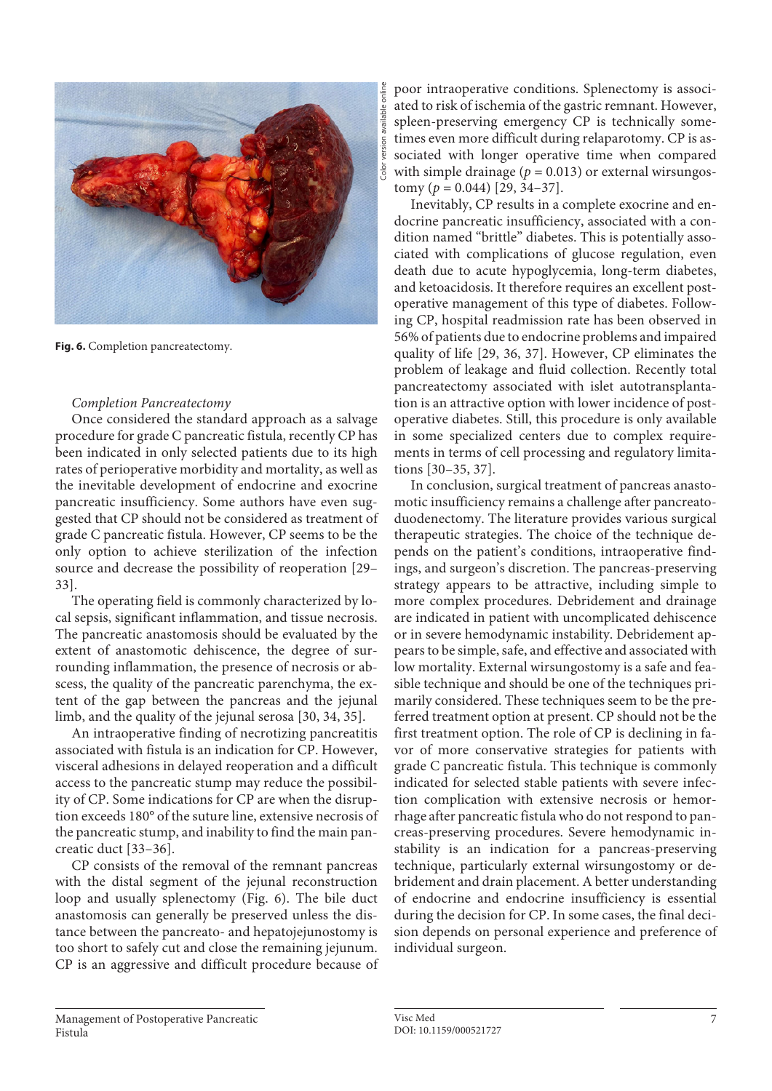

Fig. 6. Completion pancreatectomy.

## *Completion Pancreatectomy*

Once considered the standard approach as a salvage procedure for grade C pancreatic fistula, recently CP has been indicated in only selected patients due to its high rates of perioperative morbidity and mortality, as well as the inevitable development of endocrine and exocrine pancreatic insufficiency. Some authors have even suggested that CP should not be considered as treatment of grade C pancreatic fistula. However, CP seems to be the only option to achieve sterilization of the infection source and decrease the possibility of reoperation [[2](#page-7-7)[9](#page-7-5)– [33](#page-7-1)].

The operating field is commonly characterized by local sepsis, significant inflammation, and tissue necrosis. The pancreatic anastomosis should be evaluated by the extent of anastomotic dehiscence, the degree of surrounding inflammation, the presence of necrosis or abscess, the quality of the pancreatic parenchyma, the extent of the gap between the pancreas and the jejunal limb, and the quality of the jejunal serosa [\[30](#page-7-1), [3](#page-7-1)[4,](#page-7-2) [3](#page-7-1)[5\]](#page-7-4).

An intraoperative finding of necrotizing pancreatitis associated with fistula is an indication for CP. However, visceral adhesions in delayed reoperation and a difficult access to the pancreatic stump may reduce the possibility of CP. Some indications for CP are when the disruption exceeds 180° of the suture line, extensive necrosis of the pancreatic stump, and inability to find the main pancreatic duct [\[33–3](#page-7-1)[6](#page-7-8)].

CP consists of the removal of the remnant pancreas with the distal segment of the jejunal reconstruction loop and usually splenectomy (Fig. 6). The bile duct anastomosis can generally be preserved unless the distance between the pancreato- and hepatojejunostomy is too short to safely cut and close the remaining jejunum. CP is an aggressive and difficult procedure because of poor intraoperative conditions. Splenectomy is associated to risk of ischemia of the gastric remnant. However, spleen-preserving emergency CP is technically sometimes even more difficult during relaparotomy. CP is associated with longer operative time when compared with simple drainage ( $p = 0.013$ ) or external wirsungos $tomy (p = 0.044)$  [\[2](#page-7-7)[9,](#page-7-5) [3](#page-7-1)[4–](#page-7-2)[3](#page-7-1)[7](#page-7-3)].

Inevitably, CP results in a complete exocrine and endocrine pancreatic insufficiency, associated with a condition named "brittle" diabetes. This is potentially associated with complications of glucose regulation, even death due to acute hypoglycemia, long-term diabetes, and ketoacidosis. It therefore requires an excellent postoperative management of this type of diabetes. Following CP, hospital readmission rate has been observed in 56% of patients due to endocrine problems and impaired quality of life [[2](#page-7-7)[9,](#page-7-5) [3](#page-7-1)[6](#page-7-8), [3](#page-7-1)[7\]](#page-7-3). However, CP eliminates the problem of leakage and fluid collection. Recently total pancreatectomy associated with islet autotransplantation is an attractive option with lower incidence of postoperative diabetes. Still, this procedure is only available in some specialized centers due to complex requirements in terms of cell processing and regulatory limitations [[3](#page-7-1)0[–3](#page-7-1)[5](#page-7-4), [3](#page-7-1)[7\]](#page-7-3).

In conclusion, surgical treatment of pancreas anastomotic insufficiency remains a challenge after pancreatoduodenectomy. The literature provides various surgical therapeutic strategies. The choice of the technique depends on the patient's conditions, intraoperative findings, and surgeon's discretion. The pancreas-preserving strategy appears to be attractive, including simple to more complex procedures. Debridement and drainage are indicated in patient with uncomplicated dehiscence or in severe hemodynamic instability. Debridement appears to be simple, safe, and effective and associated with low mortality. External wirsungostomy is a safe and feasible technique and should be one of the techniques primarily considered. These techniques seem to be the preferred treatment option at present. CP should not be the first treatment option. The role of CP is declining in favor of more conservative strategies for patients with grade C pancreatic fistula. This technique is commonly indicated for selected stable patients with severe infection complication with extensive necrosis or hemorrhage after pancreatic fistula who do not respond to pancreas-preserving procedures. Severe hemodynamic instability is an indication for a pancreas-preserving technique, particularly external wirsungostomy or debridement and drain placement. A better understanding of endocrine and endocrine insufficiency is essential during the decision for CP. In some cases, the final decision depends on personal experience and preference of individual surgeon.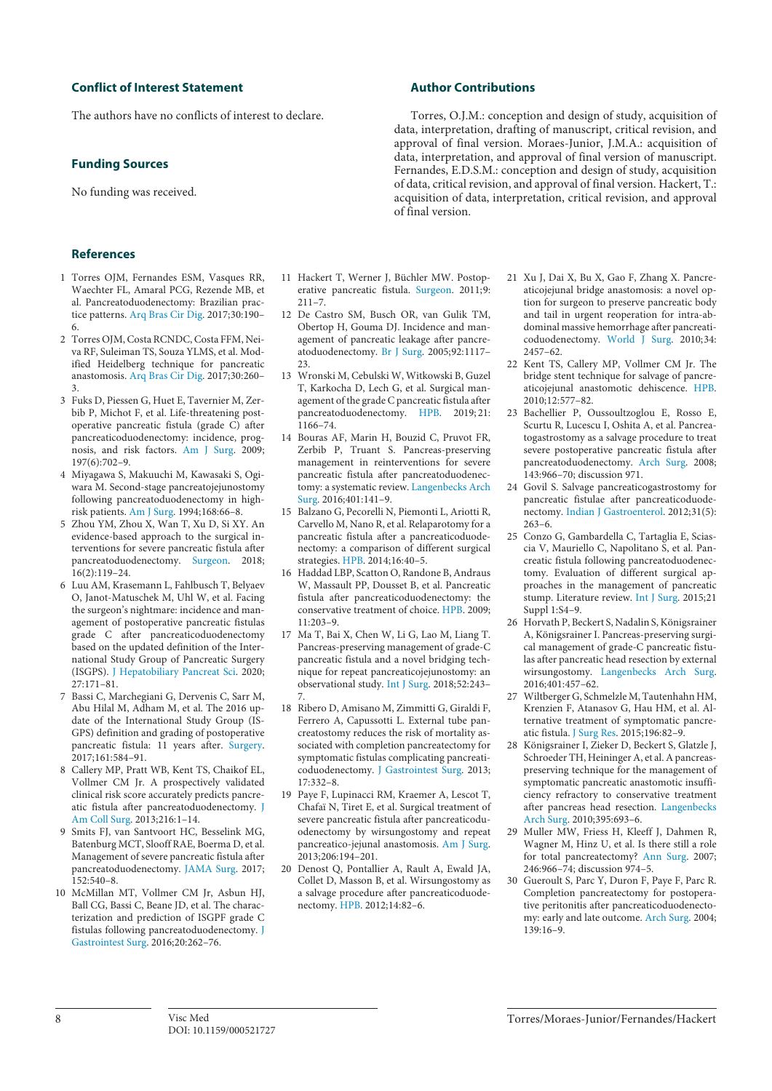### **Conflict of Interest Statement**

The authors have no conflicts of interest to declare.

### **Funding Sources**

No funding was received.

### **References**

- <span id="page-7-0"></span>[1](#page-0-0) Torres OJM, Fernandes ESM, Vasques RR, Waechter FL, Amaral PCG, Rezende MB, et al. Pancreatoduodenectomy: Brazilian practice patterns. [Arq Bras Cir Dig](https://www.karger.com/Article/FullText/521727?ref=1#ref1). 2017;30:190– 6.
- <span id="page-7-7"></span>[2](#page-0-0) Torres OJM, Costa RCNDC, Costa FFM, Neiva RF, Suleiman TS, Souza YLMS, et al. Modified Heidelberg technique for pancreatic anastomosis. [Arq Bras Cir Dig](https://www.karger.com/Article/FullText/521727?ref=2#ref2). 2017;30:260– 3.
- <span id="page-7-1"></span>[3](#page-0-0) Fuks D, Piessen G, Huet E, Tavernier M, Zerbib P, Michot F, et al. Life-threatening postoperative pancreatic fistula (grade C) after pancreaticoduodenectomy: incidence, prognosis, and risk factors. [Am J Surg](https://www.karger.com/Article/FullText/521727?ref=3#ref3). 2009; 197(6):702–9.
- <span id="page-7-2"></span>[4](#page-0-1) Miyagawa S, Makuuchi M, Kawasaki S, Ogiwara M. Second-stage pancreatojejunostomy following pancreatoduodenectomy in highrisk patients. [Am J Surg.](https://www.karger.com/Article/FullText/521727?ref=4#ref4) 1994;168:66–8.
- <span id="page-7-4"></span>[5](#page-0-1) Zhou YM, Zhou X, Wan T, Xu D, Si XY. An evidence-based approach to the surgical interventions for severe pancreatic fistula after pancreatoduodenectomy. [Surgeon.](https://www.karger.com/Article/FullText/521727?ref=5#ref5) 2018; 16(2):119–24.
- <span id="page-7-8"></span>[6](#page-0-1) Luu AM, Krasemann L, Fahlbusch T, Belyaev O, Janot-Matuschek M, Uhl W, et al. Facing the surgeon's nightmare: incidence and management of postoperative pancreatic fistulas grade C after pancreaticoduodenectomy based on the updated definition of the International Study Group of Pancreatic Surgery (ISGPS). [J Hepatobiliary Pancreat Sci.](https://www.karger.com/Article/FullText/521727?ref=6#ref6) 2020; 27:171–81.
- <span id="page-7-3"></span>[7](#page-0-1) Bassi C, Marchegiani G, Dervenis C, Sarr M, Abu Hilal M, Adham M, et al. The 2016 update of the International Study Group (IS-GPS) definition and grading of postoperative pancreatic fistula: 11 years after. [Surgery](https://www.karger.com/Article/FullText/521727?ref=7#ref7). 2017;161:584–91.
- <span id="page-7-6"></span>[8](#page-1-0) Callery MP, Pratt WB, Kent TS, Chaikof EL, Vollmer CM Jr. A prospectively validated clinical risk score accurately predicts pancreatic fistula after pancreatoduodenectomy. [J](https://www.karger.com/Article/FullText/521727?ref=8#ref8) [Am Coll Surg.](https://www.karger.com/Article/FullText/521727?ref=8#ref8) 2013;216:1–14.
- <span id="page-7-5"></span>[9](#page-1-0) Smits FJ, van Santvoort HC, Besselink MG, Batenburg MCT, Slooff RAE, Boerma D, et al. Management of severe pancreatic fistula after pancreatoduodenectomy. [JAMA Surg.](https://www.karger.com/Article/FullText/521727?ref=9#ref9) 2017;  $152:540-8.$
- [10](#page-1-1) McMillan MT, Vollmer CM Jr, Asbun HJ, Ball CG, Bassi C, Beane JD, et al. The characterization and prediction of ISGPF grade C fistulas following pancreatoduodenectomy. [J](https://www.karger.com/Article/FullText/521727?ref=10#ref10) [Gastrointest Surg.](https://www.karger.com/Article/FullText/521727?ref=10#ref10) 2016;20:262–76.

## **Author Contributions**

Torres, O.J.M.: conception and design of study, acquisition of data, interpretation, drafting of manuscript, critical revision, and approval of final version. Moraes-Junior, J.M.A.: acquisition of data, interpretation, and approval of final version of manuscript. Fernandes, E.D.S.M.: conception and design of study, acquisition of data, critical revision, and approval of final version. Hackert, T.: acquisition of data, interpretation, critical revision, and approval of final version.

- [11](#page-1-1) Hackert T, Werner J, Büchler MW. Postoperative pancreatic fistula. [Surgeon](https://www.karger.com/Article/FullText/521727?ref=11#ref11). 2011;9: 211–7.
- [12](#page-1-1) De Castro SM, Busch OR, van Gulik TM, Obertop H, Gouma DJ. Incidence and management of pancreatic leakage after pancreatoduodenectomy. [Br J Surg](https://www.karger.com/Article/FullText/521727?ref=12#ref12). 2005;92:1117– 23.
- [13](#page-1-2) Wronski M, Cebulski W, Witkowski B, Guzel T, Karkocha D, Lech G, et al. Surgical management of the grade C pancreatic fistula after pancreatoduodenectomy. [HPB.](https://www.karger.com/Article/FullText/521727?ref=13#ref13) 2019; 21: 1166–74.
- [14](#page-1-2) Bouras AF, Marin H, Bouzid C, Pruvot FR, Zerbib P, Truant S. Pancreas-preserving management in reinterventions for severe pancreatic fistula after pancreatoduodenectomy: a systematic review. [Langenbecks Arch](https://www.karger.com/Article/FullText/521727?ref=14#ref14) [Surg.](https://www.karger.com/Article/FullText/521727?ref=14#ref14) 2016;401:141–9.
- [15](#page-1-2) Balzano G, Pecorelli N, Piemonti L, Ariotti R, Carvello M, Nano R, et al. Relaparotomy for a pancreatic fistula after a pancreaticoduodenectomy: a comparison of different surgical strategies. [HPB](https://www.karger.com/Article/FullText/521727?ref=15#ref15). 2014;16:40–5.
- [16](#page-2-0) Haddad LBP, Scatton O, Randone B, Andraus W, Massault PP, Dousset B, et al. Pancreatic fistula after pancreaticoduodenectomy: the conservative treatment of choice. [HPB.](https://www.karger.com/Article/FullText/521727?ref=16#ref16) 2009; 11:203–9.
- [17](#page-2-1) Ma T, Bai X, Chen W, Li G, Lao M, Liang T. Pancreas-preserving management of grade-C pancreatic fistula and a novel bridging technique for repeat pancreaticojejunostomy: an observational study. [Int J Surg](https://www.karger.com/Article/FullText/521727?ref=17#ref17). 2018;52:243– 7.
- [18](#page-2-1) Ribero D, Amisano M, Zimmitti G, Giraldi F, Ferrero A, Capussotti L. External tube pancreatostomy reduces the risk of mortality associated with completion pancreatectomy for symptomatic fistulas complicating pancreaticoduodenectomy. [J Gastrointest Surg.](https://www.karger.com/Article/FullText/521727?ref=18#ref18) 2013; 17:332–8.
- [19](#page-2-1) Paye F, Lupinacci RM, Kraemer A, Lescot T, Chafaï N, Tiret E, et al. Surgical treatment of severe pancreatic fistula after pancreaticoduodenectomy by wirsungostomy and repeat pancreatico-jejunal anastomosis. [Am J Surg.](https://www.karger.com/Article/FullText/521727?ref=19#ref19)  $2013:206:194-201$ .
- [20](#page-2-1) Denost Q, Pontallier A, Rault A, Ewald JA, Collet D, Masson B, et al. Wirsungostomy as a salvage procedure after pancreaticoduodenectomy. [HPB.](https://www.karger.com/Article/FullText/521727?ref=20#ref20) 2012;14:82–6.
- [21](#page-2-1) Xu J, Dai X, Bu X, Gao F, Zhang X. Pancreaticojejunal bridge anastomosis: a novel option for surgeon to preserve pancreatic body and tail in urgent reoperation for intra-abdominal massive hemorrhage after pancreaticoduodenectomy. [World J Surg.](https://www.karger.com/Article/FullText/521727?ref=21#ref21) 2010;34: 2457–62.
- [22](#page-2-1) Kent TS, Callery MP, Vollmer CM Jr. The bridge stent technique for salvage of pancreaticojejunal anastomotic dehiscence. [HPB.](https://www.karger.com/Article/FullText/521727?ref=22#ref22) 2010;12:577–82.
- [23](#page-2-1) Bachellier P, Oussoultzoglou E, Rosso E, Scurtu R, Lucescu I, Oshita A, et al. Pancreatogastrostomy as a salvage procedure to treat severe postoperative pancreatic fistula after pancreatoduodenectomy. [Arch Surg.](https://www.karger.com/Article/FullText/521727?ref=23#ref23) 2008; 143:966–70; discussion 971.
- [24](#page-2-1) Govil S. Salvage pancreaticogastrostomy for pancreatic fistulae after pancreaticoduodenectomy. [Indian J Gastroenterol](https://www.karger.com/Article/FullText/521727?ref=24#ref24). 2012;31(5): 263–6.
- [25](#page-2-2) Conzo G, Gambardella C, Tartaglia E, Sciascia V, Mauriello C, Napolitano S, et al. Pancreatic fistula following pancreatoduodenectomy. Evaluation of different surgical approaches in the management of pancreatic stump. Literature review. [Int J Surg.](https://www.karger.com/Article/FullText/521727?ref=25#ref25) 2015;21 Suppl 1:S4–9.
- [26](#page-3-0) Horvath P, Beckert S, Nadalin S, Königsrainer A, Königsrainer I. Pancreas-preserving surgical management of grade-C pancreatic fistulas after pancreatic head resection by external wirsungostomy. [Langenbecks Arch Surg.](https://www.karger.com/Article/FullText/521727?ref=26#ref26) 2016;401:457–62.
- [27](#page-3-1) Wiltberger G, Schmelzle M, Tautenhahn HM, Krenzien F, Atanasov G, Hau HM, et al. Alternative treatment of symptomatic pancreatic fistula. [J Surg Res](https://www.karger.com/Article/FullText/521727?ref=27#ref27). 2015;196:82–9.
- [28](#page-4-0) Königsrainer I, Zieker D, Beckert S, Glatzle J, Schroeder TH, Heininger A, et al. A pancreaspreserving technique for the management of symptomatic pancreatic anastomotic insufficiency refractory to conservative treatment after pancreas head resection. [Langenbecks](https://www.karger.com/Article/FullText/521727?ref=28#ref28)  [Arch Surg.](https://www.karger.com/Article/FullText/521727?ref=28#ref28) 2010;395:693–6.
- 29 Muller MW, Friess H, Kleeff J, Dahmen R, Wagner M, Hinz U, et al. Is there still a role for total pancreatectomy? [Ann Surg](https://www.karger.com/Article/FullText/521727?ref=29#ref29). 2007; 246:966–74; discussion 974–5.
- 30 Gueroult S, Parc Y, Duron F, Paye F, Parc R. Completion pancreatectomy for postoperative peritonitis after pancreaticoduodenectomy: early and late outcome. [Arch Surg](https://www.karger.com/Article/FullText/521727?ref=30#ref30). 2004; 139:16–9.